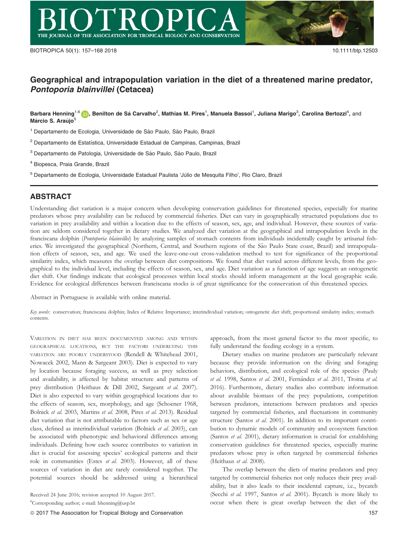# Geographical and intrapopulation variation in the diet of a threatened marine predator, Pontoporia blainvillei (Cetacea)

Barbara Henning<sup>1,6</sup> (p), Benilton de Sá Carvalho<sup>2</sup>, Mathias M. Pires<sup>1</sup>, Manuela Bassoi<sup>1</sup>, Juliana Marigo<sup>3</sup>, Carolina Bertozzi<sup>4</sup>, and Márcio S. Araújo<sup>5</sup>

<sup>1</sup> Departamento de Ecologia, Universidade de São Paulo, São Paulo, Brazil

 $2$  Departamento de Estatística, Universidade Estadual de Campinas, Campinas, Brazil

<sup>3</sup> Departamento de Patologia, Universidade de São Paulo, São Paulo, Brazil

<sup>4</sup> Biopesca, Praia Grande, Brazil

<sup>5</sup> Departamento de Ecologia, Universidade Estadual Paulista 'Júlio de Mesquita Filho', Rio Claro, Brazil

## ABSTRACT

Understanding diet variation is a major concern when developing conservation guidelines for threatened species, especially for marine predators whose prey availability can be reduced by commercial fisheries. Diet can vary in geographically structured populations due to variation in prey availability and within a location due to the effects of season, sex, age, and individual. However, these sources of variation are seldom considered together in dietary studies. We analyzed diet variation at the geographical and intrapopulation levels in the franciscana dolphin (Pontoporia blainvillei) by analyzing samples of stomach contents from individuals incidentally caught by artisanal fisheries. We investigated the geographical (Northern, Central, and Southern regions of the São Paulo State coast, Brazil) and intrapopulation effects of season, sex, and age. We used the leave-one-out cross-validation method to test for significance of the proportional similarity index, which measures the overlap between diet compositions. We found that diet varied across different levels, from the geographical to the individual level, including the effects of season, sex, and age. Diet variation as a function of age suggests an ontogenetic diet shift. Our findings indicate that ecological processes within local stocks should inform management at the local geographic scale. Evidence for ecological differences between franciscana stocks is of great significance for the conservation of this threatened species.

Abstract in Portuguese is available with online material.

Key words: conservation; franciscana dolphin; Index of Relative Importance; interindividual variation; ontogenetic diet shift; proportional similarity index; stomach contents.

VARIATION IN DIET HAS BEEN DOCUMENTED AMONG AND WITHIN GEOGRAPHICAL LOCATIONS, BUT THE FACTORS UNDERLYING THIS VARIATION ARE POORLY UNDERSTOOD (Rendell & Whitehead 2001, Nowacek 2002, Mann & Sargeant 2003). Diet is expected to vary by location because foraging success, as well as prey selection and availability, is affected by habitat structure and patterns of prey distribution (Heithaus & Dill 2002, Sargeant et al. 2007). Diet is also expected to vary within geographical locations due to the effects of season, sex, morphology, and age (Schoener 1968, Bolnick et al. 2003, Martins et al. 2008, Pires et al. 2013). Residual diet variation that is not attributable to factors such as sex or age class, defined as interindividual variation (Bolnick et al. 2003), can be associated with phenotypic and behavioral differences among individuals. Defining how each source contributes to variation in diet is crucial for assessing species' ecological patterns and their role in communities (Estes et al. 2003). However, all of these sources of variation in diet are rarely considered together. The potential sources should be addressed using a hierarchical

ª 2017 The Association for Tropical Biology and Conservation 157

approach, from the most general factor to the most specific, to fully understand the feeding ecology in a system.

Dietary studies on marine predators are particularly relevant because they provide information on the diving and foraging behaviors, distribution, and ecological role of the species (Pauly et al. 1998, Santos et al. 2001, Fernández et al. 2011, Troina et al. 2016). Furthermore, dietary studies also contribute information about available biomass of the prey populations, competition between predators, interactions between predators and species targeted by commercial fisheries, and fluctuations in community structure (Santos et al. 2001). In addition to its important contribution to dynamic models of community and ecosystem function (Santos et al. 2001), dietary information is crucial for establishing conservation guidelines for threatened species, especially marine predators whose prey is often targeted by commercial fisheries (Heithaus et al. 2008).

The overlap between the diets of marine predators and prey targeted by commercial fisheries not only reduces their prey availability, but it also leads to their incidental capture, i.e., bycatch (Secchi et al. 1997, Santos et al. 2001). Bycatch is more likely to occur when there is great overlap between the diet of the

Received 24 June 2016; revision accepted 10 August 2017. 6 Corresponding author; e-mail: bhenning@usp.br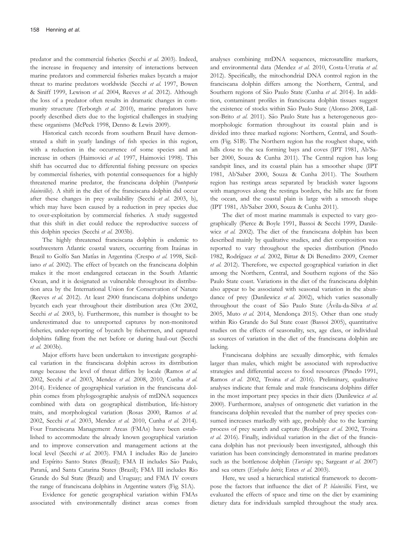predator and the commercial fisheries (Secchi et al. 2003). Indeed, the increase in frequency and intensity of interactions between marine predators and commercial fisheries makes bycatch a major threat to marine predators worldwide (Secchi et al. 1997, Bowen & Siniff 1999, Lewison et al. 2004, Reeves et al. 2012). Although the loss of a predator often results in dramatic changes in community structure (Terborgh et al. 2010), marine predators have poorly described diets due to the logistical challenges in studying these organisms (McPeek 1998, Denno & Lewis 2009).

Historical catch records from southern Brazil have demonstrated a shift in yearly landings of fish species in this region, with a reduction in the occurrence of some species and an increase in others (Haimovici et al. 1997, Haimovici 1998). This shift has occurred due to differential fishing pressure on species by commercial fisheries, with potential consequences for a highly threatened marine predator, the franciscana dolphin (Pontoporia blainvillei). A shift in the diet of the franciscana dolphin did occur after these changes in prey availability (Secchi et al. 2003, b), which may have been caused by a reduction in prey species due to over-exploitation by commercial fisheries. A study suggested that this shift in diet could reduce the reproductive success of this dolphin species (Secchi et al. 2003b).

The highly threatened franciscana dolphin is endemic to southwestern Atlantic coastal waters, occurring from Itaúnas in Brazil to Golfo San Matías in Argentina (Crespo et al. 1998, Siciliano et al. 2002). The effect of bycatch on the franciscana dolphin makes it the most endangered cetacean in the South Atlantic Ocean, and it is designated as vulnerable throughout its distribution area by the International Union for Conservation of Nature (Reeves et al. 2012). At least 2900 franciscana dolphins undergo bycatch each year throughout their distribution area (Ott 2002, Secchi et al. 2003, b). Furthermore, this number is thought to be underestimated due to unreported captures by non-monitored fisheries, under-reporting of bycatch by fishermen, and captured dolphins falling from the net before or during haul-out (Secchi et al. 2003b).

Major efforts have been undertaken to investigate geographical variation in the franciscana dolphin across its distribution range because the level of threat differs by locale (Ramos et al. 2002, Secchi et al. 2003, Mendez et al. 2008, 2010, Cunha et al. 2014). Evidence of geographical variation in the franciscana dolphin comes from phylogeographic analysis of mtDNA sequences combined with data on geographical distribution, life-history traits, and morphological variation (Rosas 2000, Ramos et al. 2002, Secchi et al. 2003, Mendez et al. 2010, Cunha et al. 2014). Four Franciscana Management Areas (FMAs) have been established to accommodate the already known geographical variation and to improve conservation and management actions at the local level (Secchi et al. 2003). FMA I includes Rio de Janeiro and Espírito Santo States (Brazil); FMA II includes São Paulo, Paraná, and Santa Catarina States (Brazil); FMA III includes Rio Grande do Sul State (Brazil) and Uruguay; and FMA IV covers the range of franciscana dolphins in Argentine waters (Fig. S1A).

Evidence for genetic geographical variation within FMAs associated with environmentally distinct areas comes from analyses combining mtDNA sequences, microsatellite markers, and environmental data (Mendez et al. 2010, Costa-Urrutia et al. 2012). Specifically, the mitochondrial DNA control region in the franciscana dolphin differs among the Northern, Central, and Southern regions of São Paulo State (Cunha et al. 2014). In addition, contaminant profiles in franciscana dolphin tissues suggest the existence of stocks within São Paulo State (Alonso 2008, Lailson-Brito et al. 2011). São Paulo State has a heterogeneous geomorphologic formation throughout its coastal plain and is divided into three marked regions: Northern, Central, and Southern (Fig. S1B). The Northern region has the roughest shape, with hills close to the sea forming bays and coves (IPT 1981, Ab'Saber 2000, Souza & Cunha 2011). The Central region has long sandspit lines, and its coastal plain has a smoother shape (IPT 1981, Ab'Saber 2000, Souza & Cunha 2011). The Southern region has restinga areas separated by brackish water lagoons with mangroves along the restinga borders, the hills are far from the ocean, and the coastal plain is large with a smooth shape (IPT 1981, Ab'Saber 2000, Souza & Cunha 2011).

The diet of most marine mammals is expected to vary geographically (Pierce & Boyle 1991, Bassoi & Secchi 1999, Danilewicz et al. 2002). The diet of the franciscana dolphin has been described mainly by qualitative studies, and diet composition was reported to vary throughout the species distribution (Pinedo 1982, Rodríguez et al. 2002, Bittar & Di Beneditto 2009, Cremer et al. 2012). Therefore, we expected geographical variation in diet among the Northern, Central, and Southern regions of the São Paulo State coast. Variations in the diet of the franciscana dolphin also appear to be associated with seasonal variation in the abundance of prey (Danilewicz et al. 2002), which varies seasonally throughout the coast of São Paulo State (Ávila-da-Silva et al. 2005, Muto et al. 2014, Mendonça 2015). Other than one study within Rio Grande do Sul State coast (Bassoi 2005), quantitative studies on the effects of seasonality, sex, age class, or individual as sources of variation in the diet of the franciscana dolphin are lacking.

Franciscana dolphins are sexually dimorphic, with females larger than males, which might be associated with reproductive strategies and differential access to food resources (Pinedo 1991, Ramos et al. 2002, Troina et al. 2016). Preliminary, qualitative analyses indicate that female and male franciscana dolphins differ in the most important prey species in their diets (Danilewicz et al. 2000). Furthermore, analyses of ontogenetic diet variation in the franciscana dolphin revealed that the number of prey species consumed increases markedly with age, probably due to the learning process of prey search and capture (Rodríguez et al. 2002, Troina et al. 2016). Finally, individual variation in the diet of the franciscana dolphin has not previously been investigated, although this variation has been convincingly demonstrated in marine predators such as the bottlenose dolphin (Tursiops sp.; Sargeant et al. 2007) and sea otters (Enhydra lutris; Estes et al. 2003).

Here, we used a hierarchical statistical framework to decompose the factors that influence the diet of P. blainvillei. First, we evaluated the effects of space and time on the diet by examining dietary data for individuals sampled throughout the study area.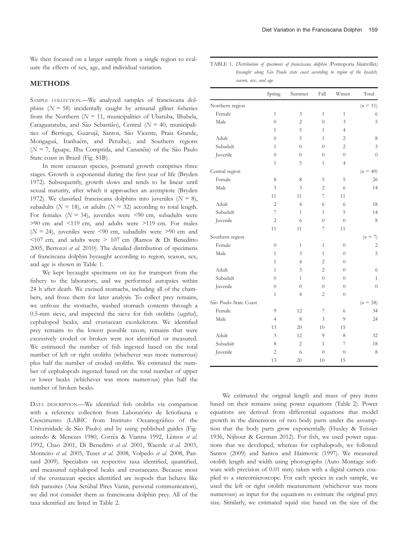We then focused on a larger sample from a single region to evaluate the effects of sex, age, and individual variation.

### **METHODS**

SAMPLE COLLECTION.—We analyzed samples of franciscana dolphins  $(N = 58)$  incidentally caught by artisanal gillnet fisheries from the Northern ( $N = 11$ , municipalities of Ubatuba, Ilhabela, Caraguatatuba, and São Sebastião), Central ( $N = 40$ , municipalities of Bertioga, Guarujá, Santos, São Vicente, Praia Grande, Mongaguá, Itanhaém, and Peruíbe), and Southern regions  $(N = 7$ , Iguape, Ilha Comprida, and Cananéia) of the São Paulo State coast in Brazil (Fig. S1B).

In most cetacean species, postnatal growth comprises three stages. Growth is exponential during the first year of life (Bryden 1972). Subsequently, growth slows and tends to be linear until sexual maturity, after which it approaches an asymptote (Bryden 1972). We classified franciscana dolphins into juveniles  $(N = 8)$ , subadults ( $N = 18$ ), or adults ( $N = 32$ ) according to total length. For females ( $N = 34$ ), juveniles were <90 cm, subadults were >90 cm and <119 cm, and adults were >119 cm. For males  $(N = 24)$ , juveniles were <90 cm, subadults were >90 cm and <107 cm, and adults were > 107 cm (Ramos & Di Beneditto 2005, Bertozzi et al. 2010). The detailed distribution of specimens of franciscana dolphin bycaught according to region, season, sex, and age is shown in Table 1.

We kept bycaught specimens on ice for transport from the fishery to the laboratory, and we performed autopsies within 24 h after death. We excised stomachs, including all of the chambers, and froze them for later analysis. To collect prey remains, we unfroze the stomachs, washed stomach contents through a 0.5-mm sieve, and inspected the sieve for fish otoliths (sagittal), cephalopod beaks, and crustacean exoskeletons. We identified prey remains to the lowest possible taxon; remains that were excessively eroded or broken were not identified or measured. We estimated the number of fish ingested based on the total number of left or right otoliths (whichever was more numerous) plus half the number of eroded otoliths. We estimated the number of cephalopods ingested based on the total number of upper or lower beaks (whichever was more numerous) plus half the number of broken beaks.

DATA DESCRIPTION.—We identified fish otoliths via comparison with a reference collection from Laboratorio de Ictiofauna e Crescimento (LABIC from Instituto Oceanografico of the Universidade de São Paulo) and by using published guides (Figueiredo & Menezes 1980, Corrêa & Vianna 1992, Lêmos et al. 1992, Chao 2001, Di Beneditto et al. 2001, Waessle et al. 2003, Monteiro et al. 2005, Tuset et al. 2008, Volpedo et al. 2008, Pansard 2009). Specialists on respective taxa identified, quantified, and measured cephalopod beaks and crustaceans. Because most of the crustacean species identified are isopods that behave like fish parasites (Ana Setúbal Pires Vanin, personal communication), we did not consider them as franciscana dolphin prey. All of the taxa identified are listed in Table 2.

| bycaught along São Paulo state coast according to region of the bycatch,<br>season, sex, and age. |                  |        |                  |        |            |  |  |
|---------------------------------------------------------------------------------------------------|------------------|--------|------------------|--------|------------|--|--|
|                                                                                                   | Spring           | Summer | Fall             | Winter | Total      |  |  |
| Northern region                                                                                   |                  |        |                  |        | $(n = 11)$ |  |  |
| Female                                                                                            |                  | 3      |                  |        | 6          |  |  |
| Male                                                                                              | $\Omega$         | 2      | $^{()}$          | 3      | 5          |  |  |
|                                                                                                   |                  | 5      |                  | 4      |            |  |  |
| Adult                                                                                             | $\Omega$         | 5      |                  | 2      | 8          |  |  |
| Subadult                                                                                          |                  |        | $^{()}$          | 2      | 3          |  |  |
| Juvenile                                                                                          | $\left( \right)$ |        | $\left( \right)$ | $\cup$ | $\Omega$   |  |  |
|                                                                                                   |                  |        |                  | 4      |            |  |  |

TABLE 1. Distribution of specimens of franciscana dolphin (Pontoporia blainvillei)

| Subadult              | 1              | $\cup$         | $\cup$         | 2              | 3              |
|-----------------------|----------------|----------------|----------------|----------------|----------------|
| Juvenile              | $\overline{0}$ | $\overline{0}$ | $\overline{0}$ | $\overline{0}$ | $\overline{0}$ |
|                       | $\mathbf{1}$   | 5              | $\mathbf{1}$   | $\overline{4}$ |                |
| Central region        |                |                |                |                | $(n = 40)$     |
| Female                | 8              | 8              | 5              | 5              | 26             |
| Male                  | 3              | 3              | $\overline{2}$ | 6              | 14             |
|                       | 11             | 11             | 7              | 11             |                |
| Adult                 | $\overline{2}$ | $\overline{4}$ | 6              | 6              | 18             |
| Subadult              | 7              | $\mathbf{1}$   | $\mathbf{1}$   | 5              | 14             |
| Juvenile              | $\overline{2}$ | 6              | $\overline{0}$ | $\overline{0}$ | 8              |
|                       | 11             | 11             | 7              | 11             |                |
| Southern region       |                |                |                |                | $(n =$<br>7)   |
| Female                | $\overline{0}$ | $\mathbf{1}$   | $\mathbf{1}$   | $\overline{0}$ | $\mathbf{2}$   |
| Male                  | $\mathbf{1}$   | 3              | $\mathbf{1}$   | $\theta$       | 5              |
|                       | $\mathbf{1}$   | $\overline{4}$ | $\overline{2}$ | $\theta$       |                |
| Adult                 | $\mathbf{1}$   | 3              | $\overline{2}$ | $\theta$       | 6              |
| Subadult              | $\overline{0}$ | $\mathbf{1}$   | $\overline{0}$ | $\theta$       | $\mathbf{1}$   |
| Juvenile              | $\overline{0}$ | $\overline{0}$ | $\overline{0}$ | $\theta$       | $\overline{0}$ |
|                       | $\mathbf{1}$   | 4              | $\overline{2}$ | $\theta$       |                |
| São Paulo State Coast |                |                |                |                | $(n = 58)$     |
| Female                | 9              | 12             | 7              | 6              | 34             |
| Male                  | $\overline{4}$ | 8              | 3              | 9              | 24             |
|                       | 13             | 20             | 10             | 15             |                |
| Adult                 | 3              | 12             | 9              | 8              | 32             |
| Subadult              | 8              | $\overline{2}$ | $\mathbf{1}$   | 7              | 18             |
| Juvenile              | $\overline{2}$ | 6              | $\theta$       | $\overline{0}$ | 8              |
|                       | 13             | 20             | 10             | 15             |                |
|                       |                |                |                |                |                |

We estimated the original length and mass of prey items based on their remains using power equations (Table 2). Power equations are derived from differential equations that model growth in the dimensions of two body parts under the assumption that the body parts grow exponentially (Huxley & Teissier 1936, Nijhout & German 2012). For fish, we used power equations that we developed, whereas for cephalopods, we followed Santos (2009) and Santos and Haimovic (1997). We measured otolith length and width using photographs (Auto Montage software with precision of 0.01 mm) taken with a digital camera coupled to a stereomicroscope. For each species in each sample, we used the left or right otolith measurement (whichever was more numerous) as input for the equations to estimate the original prey size. Similarly, we estimated squid size based on the size of the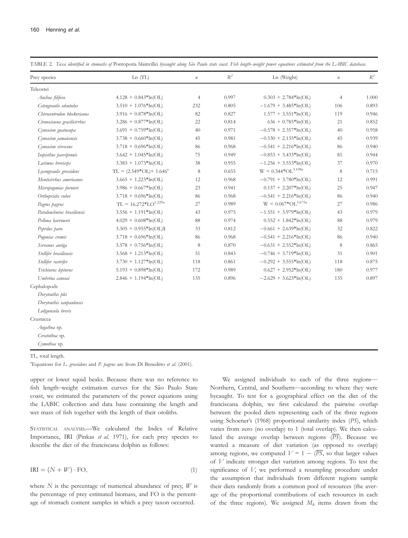| Prey species                | Ln(TL)                      | $\it n$        | $\mathbb{R}^2$ | Ln (Weight)               | $\it n$ | $\mathbb{R}^2$ |
|-----------------------------|-----------------------------|----------------|----------------|---------------------------|---------|----------------|
| Teleostei                   |                             |                |                |                           |         |                |
| Anchoa filifera             | $4.128 + 0.843*ln(OL)$      | $\overline{4}$ | 0.997          | $0.303 + 2.784*ln(OL)$    | 4       | 1.000          |
| Cetengraulis edentulus      | $3.510 + 1.076*ln(OL)$      | 232            | 0.805          | $-1.679 + 3.485*ln(OL)$   | 106     | 0.893          |
| Chirocentrodon bleekerianus | $3.916 + 0.878*ln(OL)$      | 82             | 0.827          | $1.577 + 3.551*ln(OL)$    | 119     | 0.946          |
| Ctenosciaena gracilicirrhus | $3.286 + 0.877*ln(OL)$      | 22             | 0.814          | $636 + 0.785*ln(OL)$      | 21      | 0.852          |
| Cynoscion guatucupa         | $3.691 + 0.759*ln(OL)$      | 40             | 0.971          | $-0.578 + 2.357*ln(OL)$   | 40      | 0.958          |
| Cynoscion jamaicensis       | $3.738 + 0.660*ln(OL)$      | 45             | 0.981          | $-0.530 + 2.135*ln(OL)$   | 45      | 0.939          |
| Cynoscion virescens         | $3.718 + 0.696*ln(OL)$      | 86             | 0.968          | $-0.541 + 2.216*ln(OL)$   | 86      | 0.940          |
| Isopisthus parvipinnis      | $3.642 + 1.045*ln(OL)$      | 75             | 0.949          | $-0.853 + 3.433*ln(OL)$   | 81      | 0.944          |
| Larimus breviceps           | $3.383 + 1.073*ln(OL)$      | 38             | 0.955          | $-1.256 + 3.553*ln(OL)$   | 37      | 0.970          |
| Lycengraulis grossidens     | $TL = (2.549*OL) + 1.646^a$ | 8              | 0.655          | $W = 0.344 * OL^{3.108a}$ | 8       | 0.715          |
| Menticirrhus americanus     | $3.665 + 1.223*ln(OL)$      | 12             | 0.968          | $-0.791 + 3.780*ln(OL)$   | 12      | 0.991          |
| Micropogonias furnieri      | $3.986 + 0.667*ln(OL)$      | 23             | 0.941          | $0.157 + 2.207*ln(OL)$    | 25      | 0.947          |
| Orthopristis ruber          | $3.718 + 0.696*ln(OL)$      | 86             | 0.968          | $-0.541 + 2.216*ln(OL)$   | 86      | 0.940          |
| Pagrus pagrus               | $TL = 16.272 * LO^{1.229a}$ | 27             | 0.989          | $W = 0.067*OL^{3.675a}$   | 27      | 0.986          |
| Paralonchurus brasiliensis  | $3.556 + 1.191*ln(OL)$      | 43             | 0.975          | $-1.551 + 3.979*ln(OL)$   | 43      | 0.979          |
| Pellona harroweri           | $4.029 + 0.608*ln(OL)$      | 88             | 0.974          | $0.552 + 1.842*ln(OL)$    | 88      | 0.979          |
| Peprilus paru               | $3.305 + 0.955*ln(OL)\$     | 33             | 0.812          | $-0.661 + 2.639*ln(OL)$   | 32      | 0.822          |
| Pogonias cromis             | $3.718 + 0.696*ln(OL)$      | 86             | 0.968          | $-0.541 + 2.216*ln(OL)$   | 86      | 0.940          |
| Serranus auriga             | $3.578 + 0.756*ln(OL)$      | $\,$ 8 $\,$    | 0.870          | $-0.631 + 2.552*ln(OL)$   | 8       | 0.865          |
| Stellifer brasiliensis      | $3.568 + 1.213*ln(OL)$      | 51             | 0.843          | $-0.746 + 3.719*ln(OL)$   | 31      | 0.901          |
| Stellifer rastrifer         | $3.730 + 1.127*ln(OL)$      | 118            | 0.861          | $-0.292 + 3.555*ln(OL)$   | 118     | 0.875          |
| Trichiurus lepturus         | $5.193 + 0.898*ln(OL)$      | 172            | 0.989          | $0.627 + 2.952*ln(OL)$    | 180     | 0.977          |
| Umbrina canosai             | $2.846 + 1.194*ln(OL)$      | 135            | 0.896          | $-2.629 + 3.623*ln(OL)$   | 135     | 0.897          |
| Cephalopods                 |                             |                |                |                           |         |                |
| Doryteuthis plei            |                             |                |                |                           |         |                |
| Doryteuthis sanpaulensis    |                             |                |                |                           |         |                |
| Loliguncula brevis          |                             |                |                |                           |         |                |
| Crustacea                   |                             |                |                |                           |         |                |
| Aegathoa sp.                |                             |                |                |                           |         |                |
| Ceratothoa sp.              |                             |                |                |                           |         |                |
| Cymothoa sp.                |                             |                |                |                           |         |                |

TABLE 2. Taxa identified in stomachs of Pontoporia blainvillei bycaught along São Paulo state coast. Fish length–weight power equations estimated from the LABIC database.

TL, total length.

<sup>a</sup> Equations for L. grossidens and P. pagrus are from Di Beneditto et al. (2001).

upper or lower squid beaks. Because there was no reference to fish length-weight estimation curves for the São Paulo State coast, we estimated the parameters of the power equations using the LABIC collection and data base containing the length and wet mass of fish together with the length of their otoliths.

STATISTICAL ANALYSIS.—We calculated the Index of Relative Importance, IRI (Pinkas et al. 1971), for each prey species to describe the diet of the franciscana dolphin as follows:

$$
IRI = (N + W) \cdot \text{FO},\tag{1}
$$

where  $N$  is the percentage of numerical abundance of prey,  $W$  is the percentage of prey estimated biomass, and FO is the percentage of stomach content samples in which a prey taxon occurred.

We assigned individuals to each of the three regions— Northern, Central, and Southern—according to where they were bycaught. To test for a geographical effect on the diet of the franciscana dolphin, we first calculated the pairwise overlap between the pooled diets representing each of the three regions using Schoener's (1968) proportional similarity index (PS), which varies from zero (no overlap) to 1 (total overlap). We then calculated the average overlap between regions  $(\overline{PS})$ . Because we wanted a measure of diet variation (as opposed to overlap) among regions, we computed  $V = 1 - \langle \overline{PS} \rangle$ , so that larger values of V indicate stronger diet variation among regions. To test the significance of V, we performed a resampling procedure under the assumption that individuals from different regions sample their diets randomly from a common pool of resources (the average of the proportional contributions of each resources in each of the three regions). We assigned  $M_k$  items drawn from the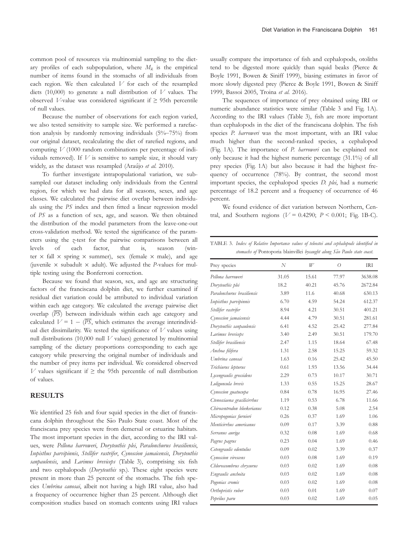common pool of resources via multinomial sampling to the dietary profiles of each subpopulation, where  $M_k$  is the empirical number of items found in the stomachs of all individuals from each region. We then calculated  $V$  for each of the resampled diets (10,000) to generate a null distribution of  $V$  values. The observed *V*-value was considered significant if  $\geq$  95th percentile of null values.

Because the number of observations for each region varied, we also tested sensitivity to sample size. We performed a rarefaction analysis by randomly removing individuals (5%–75%) from our original dataset, recalculating the diet of rarefied regions, and computing  $V$  (1000 random combinations per percentage of individuals removed). If  $V$  is sensitive to sample size, it should vary widely, as the dataset was resampled (Araújo et al. 2010).

To further investigate intrapopulational variation, we subsampled our dataset including only individuals from the Central region, for which we had data for all seasons, sexes, and age classes. We calculated the pairwise diet overlap between individuals using the PS index and then fitted a linear regression model of PS as a function of sex, age, and season. We then obtained the distribution of the model parameters from the leave-one-out cross-validation method. We tested the significance of the parameters using the z-test for the pairwise comparisons between all levels of each factor, that is, season (winter  $\times$  fall  $\times$  spring  $\times$  summer), sex (female  $\times$  male), and age (juvenile  $\times$  subadult  $\times$  adult). We adjusted the P-values for multiple testing using the Bonferroni correction.

Because we found that season, sex, and age are structuring factors of the franciscana dolphin diet, we further examined if residual diet variation could be attributed to individual variation within each age category. We calculated the average pairwise diet overlap  $(\overline{PS})$  between individuals within each age category and calculated  $V = 1 - \langle \overline{PS} \rangle$ , which estimates the average interindividual diet dissimilarity. We tested the significance of  $V$  values using null distributions (10,000 null  $V$  values) generated by multinomial sampling of the dietary proportions corresponding to each age category while preserving the original number of individuals and the number of prey items per individual. We considered observed  $V$  values significant if  $\geq$  the 95th percentile of null distribution of values.

#### RESULTS

We identified 25 fish and four squid species in the diet of franciscana dolphin throughout the São Paulo State coast. Most of the franciscana prey species were from demersal or estuarine habitats. The most important species in the diet, according to the IRI values, were Pellona harroweri, Doryteuthis plei, Paralonchurus brasiliensis, Isopisthus parvipinnis, Stellifer rastrifer, Cynoscion jamaicensis, Doryteuthis sanpaulensis, and Larimus breviceps (Table 3), comprising six fish and two cephalopods (Doryteuthis sp.). These eight species were present in more than 25 percent of the stomachs. The fish species Umbrina canosai, albeit not having a high IRI value, also had a frequency of occurrence higher than 25 percent. Although diet composition studies based on stomach contents using IRI values

usually compare the importance of fish and cephalopods, otoliths tend to be digested more quickly than squid beaks (Pierce & Boyle 1991, Bowen & Siniff 1999), biasing estimates in favor of more slowly digested prey (Pierce & Boyle 1991, Bowen & Siniff 1999, Bassoi 2005, Troina et al. 2016).

The sequences of importance of prey obtained using IRI or numeric abundance statistics were similar (Table 3 and Fig. 1A). According to the IRI values (Table 3), fish are more important than cephalopods in the diet of the franciscana dolphin. The fish species P. harroweri was the most important, with an IRI value much higher than the second-ranked species, a cephalopod (Fig. 1A). The importance of P. harroweri can be explained not only because it had the highest numeric percentage (31.1%) of all prey species (Fig. 1A) but also because it had the highest frequency of occurrence (78%). By contrast, the second most important species, the cephalopod species D. plei, had a numeric percentage of 18.2 percent and a frequency of occurrence of 46 percent.

We found evidence of diet variation between Northern, Central, and Southern regions ( $V = 0.4290$ ;  $P < 0.001$ ; Fig. 1B-C).

TABLE 3. Index of Relative Importance values of teleostei and cephalopods identified in stomachs of Pontoporia blainvillei bycaught along São Paulo state coast.

| Prey species                | N     | W     | $\overline{O}$ | <b>IRI</b> |
|-----------------------------|-------|-------|----------------|------------|
| Pellona harroweri           | 31.05 | 15.61 | 77.97          | 3638.08    |
| Doryteuthis plei            | 18.2  | 40.21 | 45.76          | 2672.84    |
| Paralonchurus brasiliensis  | 3.89  | 11.6  | 40.68          | 630.13     |
| Isopisthus parvipinnis      | 6.70  | 4.59  | 54.24          | 612.37     |
| Stellifer rastrifer         | 8.94  | 4.21  | 30.51          | 401.21     |
| Cynoscion jamaicensis       | 4.44  | 4.79  | 30.51          | 281.61     |
| Doryteuthis sanpaulensis    | 6.41  | 4.52  | 25.42          | 277.84     |
| Larimus breviceps           | 3.40  | 2.49  | 30.51          | 179.70     |
| Stellifer brasiliensis      | 2.47  | 1.15  | 18.64          | 67.48      |
| Anchoa filifera             | 1.31  | 2.58  | 15.25          | 59.32      |
| Umbrina canosai             | 1.63  | 0.16  | 25.42          | 45.50      |
| Trichiurus lepturus         | 0.61  | 1.93  | 13.56          | 34.44      |
| Lycengraulis grossidens     | 2.29  | 0.73  | 10.17          | 30.71      |
| Loliguncula brevis          | 1.33  | 0.55  | 15.25          | 28.67      |
| Cynoscion guatucupa         | 0.84  | 0.78  | 16.95          | 27.46      |
| Ctenosciaena gracilicirrhus | 1.19  | 0.53  | 6.78           | 11.66      |
| Chirocentrodon bleekerianus | 0.12  | 0.38  | 5.08           | 2.54       |
| Micropogonias furnieri      | 0.26  | 0.37  | 1.69           | 1.06       |
| Menticirrhus americanus     | 0.09  | 0.17  | 3.39           | 0.88       |
| Serranus auriga             | 0.32  | 0.08  | 1.69           | 0.68       |
| Pagrus pagrus               | 0.23  | 0.04  | 1.69           | 0.46       |
| Cetengraulis edentulus      | 0.09  | 0.02  | 3.39           | 0.37       |
| Cynoscion virescens         | 0.03  | 0.08  | 1.69           | 0.19       |
| Chloroscombrus chrysurus    | 0.03  | 0.02  | 1.69           | 0.08       |
| Engraulis anchoita          | 0.03  | 0.02  | 1.69           | 0.08       |
| Pogonias cromis             | 0.03  | 0.02  | 1.69           | 0.08       |
| Orthopristis ruber          | 0.03  | 0.01  | 1.69           | 0.07       |
| Peprilus paru               | 0.03  | 0.02  | 1.69           | 0.05       |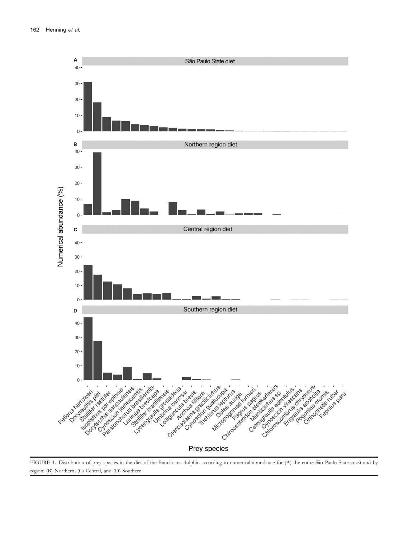

FIGURE 1. Distribution of prey species in the diet of the franciscana dolphin according to numerical abundance for (A) the entire São Paulo State coast and by region: (B) Northern, (C) Central, and (D) Southern.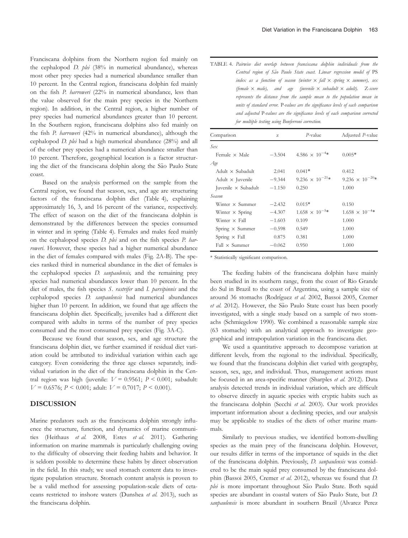Franciscana dolphins from the Northern region fed mainly on the cephalopod *D. plei* (38% in numerical abundance), whereas most other prey species had a numerical abundance smaller than 10 percent. In the Central region, franciscana dolphin fed mainly on the fish P. harroweri (22% in numerical abundance, less than the value observed for the main prey species in the Northern region). In addition, in the Central region, a higher number of prey species had numerical abundances greater than 10 percent. In the Southern region, franciscana dolphins also fed mainly on the fish P. harroweri (42% in numerical abundance), although the cephalopod D. plei had a high numerical abundance (28%) and all of the other prey species had a numerical abundance smaller than 10 percent. Therefore, geographical location is a factor structuring the diet of the franciscana dolphin along the São Paulo State coast.

Based on the analysis performed on the sample from the Central region, we found that season, sex, and age are structuring factors of the franciscana dolphin diet (Table 4), explaining approximately 16, 3, and 16 percent of the variance, respectively. The effect of season on the diet of the franciscana dolphin is demonstrated by the differences between the species consumed in winter and in spring (Table 4). Females and males feed mainly on the cephalopod species *D. plei* and on the fish species *P. har*roweri. However, these species had a higher numerical abundance in the diet of females compared with males (Fig. 2A-B). The species ranked third in numerical abundance in the diet of females is the cephalopod species *D. sanpaulensis*, and the remaining prey species had numerical abundances lower than 10 percent. In the diet of males, the fish species S. rastrifer and I. parvipinnis and the cephalopod species D. sanpaulensis had numerical abundances higher than 10 percent. In addition, we found that age affects the franciscana dolphin diet. Specifically, juveniles had a different diet compared with adults in terms of the number of prey species consumed and the most consumed prey species (Fig. 3A-C).

Because we found that season, sex, and age structure the franciscana dolphin diet, we further examined if residual diet variation could be attributed to individual variation within each age category. Even considering the three age classes separately, individual variation in the diet of the franciscana dolphin in the Central region was high (juvenile:  $V = 0.9561$ ;  $P \le 0.001$ ; subadult:  $V = 0.6576$ ;  $P \le 0.001$ ; adult:  $V = 0.7017$ ;  $P \le 0.001$ ).

#### DISCUSSION

Marine predators such as the franciscana dolphin strongly influence the structure, function, and dynamics of marine communities (Heithaus et al. 2008, Estes et al. 2011). Gathering information on marine mammals is particularly challenging owing to the difficulty of observing their feeding habits and behavior. It is seldom possible to determine these habits by direct observation in the field. In this study, we used stomach content data to investigate population structure. Stomach content analysis is proven to be a valid method for assessing population-scale diets of cetaceans restricted to inshore waters (Dunshea et al. 2013), such as the franciscana dolphin.

|  | TABLE 4. Pairwise diet overlap between franciscana dolphin individuals from the           |  |  |  |  |
|--|-------------------------------------------------------------------------------------------|--|--|--|--|
|  | Central region of São Paulo State coast. Linear regression model of PS                    |  |  |  |  |
|  | index as a function of season (winter $\times$ fall $\times$ spring $\times$ summer), sex |  |  |  |  |
|  | (female $\times$ male), and age (juvenile $\times$ subadult $\times$ adult). Z-score      |  |  |  |  |
|  | represents the distance from the sample mean to the population mean in                    |  |  |  |  |
|  | units of standard error. P-values are the significance levels of each comparison          |  |  |  |  |
|  | and adjusted P-values are the significance levels of each comparison corrected            |  |  |  |  |
|  | for multiple testing using Bonferroni correction.                                         |  |  |  |  |

| Comparison                            | Z        | $P$ -value                        | Adjusted P-value                  |
|---------------------------------------|----------|-----------------------------------|-----------------------------------|
| Sex                                   |          |                                   |                                   |
| Female $\times$ Male                  | $-3.504$ | 4.586 $\times$ 10 <sup>-4*</sup>  | $0.005*$                          |
| Age                                   |          |                                   |                                   |
| $\text{Adult} \times \text{Subadult}$ | 2.041    | $0.041*$                          | 0.412                             |
| Adult $\times$ Juvenile               | $-9.344$ | 9.236 $\times$ 10 <sup>-21*</sup> | 9.236 $\times$ 10 <sup>-20*</sup> |
| Juvenile $\times$ Subadult            | $-1.150$ | 0.250                             | 1.000                             |
| Season                                |          |                                   |                                   |
| Winter $\times$ Summer                | $-2.432$ | $0.015*$                          | 0.150                             |
| Winter $\times$ Spring                | $-4.307$ | $1.658 \times 10^{-5*}$           | $1.658 \times 10^{-4*}$           |
| Winter $\times$ Fall                  | $-1.603$ | 0.109                             | 1.000                             |
| Spring $\times$ Summer                | $-0.598$ | 0.549                             | 1.000                             |
| Spring $\times$ Fall                  | 0.875    | 0.381                             | 1.000                             |
| $Fall \times Summer$                  | $-0.062$ | 0.950                             | 1.000                             |

\* Statistically significant comparison.

The feeding habits of the franciscana dolphin have mainly been studied in its southern range, from the coast of Rio Grande do Sul in Brazil to the coast of Argentina, using a sample size of around 36 stomachs (Rodríguez et al. 2002, Bassoi 2005, Cremer et al. 2012). However, the São Paulo State coast has been poorly investigated, with a single study based on a sample of two stomachs (Schmiegelow 1990). We combined a reasonable sample size (63 stomachs) with an analytical approach to investigate geographical and intrapopulation variation in the franciscana diet.

We used a quantitative approach to decompose variation at different levels, from the regional to the individual. Specifically, we found that the franciscana dolphin diet varied with geography, season, sex, age, and individual. Thus, management actions must be focused in an area-specific manner (Sharples et al. 2012). Data analysis detected trends in individual variation, which are difficult to observe directly in aquatic species with cryptic habits such as the franciscana dolphin (Secchi et al. 2003). Our work provides important information about a declining species, and our analysis may be applicable to studies of the diets of other marine mammals.

Similarly to previous studies, we identified bottom-dwelling species as the main prey of the franciscana dolphin. However, our results differ in terms of the importance of squids in the diet of the franciscana dolphin. Previously, *D. sanpaulensis* was considered to be the main squid prey consumed by the franciscana dolphin (Bassoi 2005, Cremer et al. 2012), whereas we found that D. plei is more important throughout São Paulo State. Both squid species are abundant in coastal waters of São Paulo State, but D. sanpaulensis is more abundant in southern Brazil (Alvarez Perez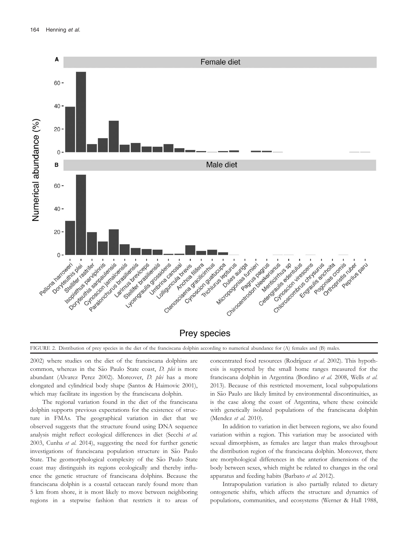

**Prey species** 

FIGURE 2. Distribution of prey species in the diet of the franciscana dolphin according to numerical abundance for (A) females and (B) males.

2002) where studies on the diet of the franciscana dolphins are common, whereas in the São Paulo State coast, D. plei is more abundant (Alvarez Perez 2002). Moreover, D. plei has a more elongated and cylindrical body shape (Santos & Haimovic 2001), which may facilitate its ingestion by the franciscana dolphin.

The regional variation found in the diet of the franciscana dolphin supports previous expectations for the existence of structure in FMAs. The geographical variation in diet that we observed suggests that the structure found using DNA sequence analysis might reflect ecological differences in diet (Secchi et al. 2003, Cunha et al. 2014), suggesting the need for further genetic investigations of franciscana population structure in São Paulo State. The geomorphological complexity of the São Paulo State coast may distinguish its regions ecologically and thereby influence the genetic structure of franciscana dolphins. Because the franciscana dolphin is a coastal cetacean rarely found more than 5 km from shore, it is most likely to move between neighboring regions in a stepwise fashion that restricts it to areas of

concentrated food resources (Rodríguez et al. 2002). This hypothesis is supported by the small home ranges measured for the franciscana dolphin in Argentina (Bordino et al. 2008, Wells et al. 2013). Because of this restricted movement, local subpopulations in São Paulo are likely limited by environmental discontinuities, as is the case along the coast of Argentina, where these coincide with genetically isolated populations of the franciscana dolphin (Mendez et al. 2010).

In addition to variation in diet between regions, we also found variation within a region. This variation may be associated with sexual dimorphism, as females are larger than males throughout the distribution region of the franciscana dolphin. Moreover, there are morphological differences in the anterior dimensions of the body between sexes, which might be related to changes in the oral apparatus and feeding habits (Barbato et al. 2012).

Intrapopulation variation is also partially related to dietary ontogenetic shifts, which affects the structure and dynamics of populations, communities, and ecosystems (Werner & Hall 1988,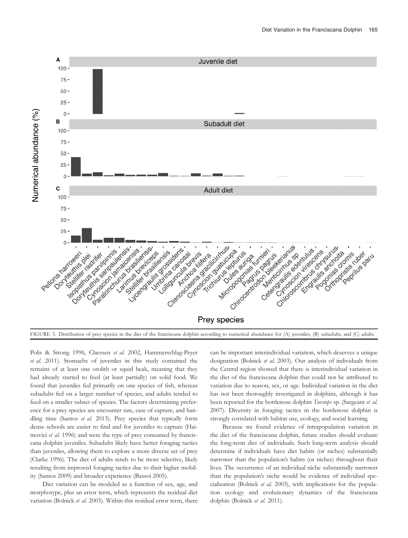



Polis & Strong 1996, Claessen et al. 2002, Hammerschlag-Peyer et al. 2011). Stomachs of juveniles in this study contained the remains of at least one otolith or squid beak, meaning that they had already started to feed (at least partially) on solid food. We found that juveniles fed primarily on one species of fish, whereas subadults fed on a larger number of species, and adults tended to feed on a smaller subset of species. The factors determining preference for a prey species are encounter rate, ease of capture, and handling time (Santos et al. 2013). Prey species that typically form dense schools are easier to find and for juveniles to capture (Haimovici et al. 1996) and were the type of prey consumed by franciscana dolphin juveniles. Subadults likely have better foraging tactics than juveniles, allowing them to explore a more diverse set of prey (Clarke 1996). The diet of adults tends to be more selective, likely resulting from improved foraging tactics due to their higher mobility (Santos 2009) and broader experience (Bassoi 2005).

Diet variation can be modeled as a function of sex, age, and morphotype, plus an error term, which represents the residual diet variation (Bolnick et al. 2003). Within this residual error term, there

can be important interindividual variation, which deserves a unique designation (Bolnick et al. 2003). Our analysis of individuals from the Central region showed that there is interindividual variation in the diet of the franciscana dolphin that could not be attributed to variation due to season, sex, or age. Individual variation in the diet has not been thoroughly investigated in dolphins, although it has been reported for the bottlenose dolphin Tursiops sp. (Sargeant et al. 2007). Diversity in foraging tactics in the bottlenose dolphin is strongly correlated with habitat use, ecology, and social learning.

Because we found evidence of intrapopulation variation in the diet of the franciscana dolphin, future studies should evaluate the long-term diet of individuals. Such long-term analysis should determine if individuals have diet habits (or niches) substantially narrower than the population's habits (or niches) throughout their lives. The occurrence of an individual niche substantially narrower than the population's niche would be evidence of individual specialization (Bolnick et al. 2003), with implications for the population ecology and evolutionary dynamics of the franciscana dolphin (Bolnick et al. 2011).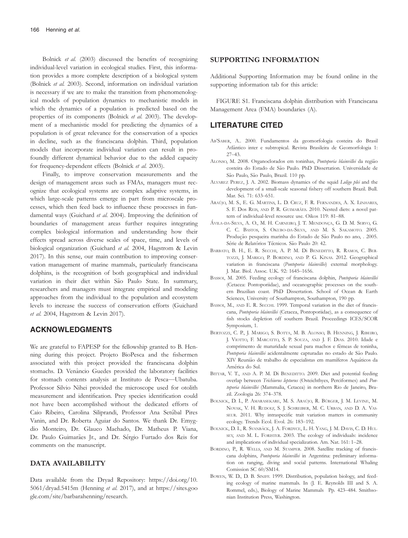Bolnick et al. (2003) discussed the benefits of recognizing individual-level variation in ecological studies. First, this information provides a more complete description of a biological system (Bolnick et al. 2003). Second, information on individual variation is necessary if we are to make the transition from phenomenological models of population dynamics to mechanistic models in which the dynamics of a population is predicted based on the properties of its components (Bolnick et al. 2003). The development of a mechanistic model for predicting the dynamics of a population is of great relevance for the conservation of a species in decline, such as the franciscana dolphin. Third, population models that incorporate individual variation can result in profoundly different dynamical behavior due to the added capacity for frequency-dependent effects (Bolnick et al. 2003).

Finally, to improve conservation measurements and the design of management areas such as FMAs, managers must recognize that ecological systems are complex adaptive systems, in which large-scale patterns emerge in part from microscale processes, which then feed back to influence these processes in fundamental ways (Guichard et al. 2004). Improving the definition of boundaries of management areas further requires integrating complex biological information and understanding how their effects spread across diverse scales of space, time, and levels of biological organization (Guichard et al. 2004, Hagstrom & Levin 2017). In this sense, our main contribution to improving conservation management of marine mammals, particularly franciscana dolphins, is the recognition of both geographical and individual variation in their diet within São Paulo State. In summary, researchers and managers must integrate empirical and modeling approaches from the individual to the population and ecosystem levels to increase the success of conservation efforts (Guichard et al. 2004, Hagstrom & Levin 2017).

#### ACKNOWLEDGMENTS

We are grateful to FAPESP for the fellowship granted to B. Henning during this project. Projeto BioPesca and the fishermen associated with this project provided the franciscana dolphin stomachs. D. Venâncio Guedes provided the laboratory facilities for stomach contents analysis at Instituto de Pesca—Ubatuba. Professor Silvio Nihei provided the microscope used for otolith measurement and identification. Prey species identification could not have been accomplished without the dedicated efforts of Caio Ribeiro, Carolina Siliprandi, Professor Ana Setubal Pires Vanin, and Dr. Roberta Aguiar do Santos. We thank Dr. Emygdio Monteiro, Dr. Glauco Machado, Dr. Matheus P. Viana, Dr. Paulo Guimarães Jr., and Dr. Sérgio Furtado dos Reis for comments on the manuscript.

#### DATA AVAILABILITY

Data available from the Dryad Repository: [https://doi.org/10.](https://doi.org/10.5061/dryad.5415m) [5061/dryad.5415m](https://doi.org/10.5061/dryad.5415m) (Henning et al. 2017), and at [https://sites.goo](https://sites.google.com/site/barbarahenning/research) [gle.com/site/barbarahenning/research](https://sites.google.com/site/barbarahenning/research).

#### SUPPORTING INFORMATION

Additional Supporting Information may be found online in the supporting information tab for this article:

FIGURE S1. Franciscana dolphin distribution with Franciscana Management Area (FMA) boundaries (A).

## LITERATURE CITED

- AB'SABER, A.. 2000. Fundamentos da geomorfologia costeira do Brasil Atlântico inter e subtropical. Revista Brasileira de Geomorfologia 1: 27–43.
- ALONSO, M. 2008. Organoclorados em toninhas, Pontoporia blainvillei da região costeira do Estado de São Paulo. PhD Dissertation. Universidade de São Paulo, São Paulo, Brazil. 110 pp.
- ALVAREZ PEREZ, J. A. 2002. Biomass dynamics of the squid Loligo plei and the development of a small-scale seasonal fishery off southern Brazil. Bull. Mar. Sci. 71: 633–651.
- ARAÚJO, M. S., E. G. MARTINS, L. D. CRUZ, F. R. FERNANDES, A. X. LINHARES, S. F. Dos REIS, AND P. R. GUIMARÃES. 2010. Nested diets: a novel pattern of individual-level resource use. Oikos 119: 81–88.
- AVILA-DA-SILVA, A. O., M. H. CARNEIRO, J. T. MENDONCA, G. D. M. SERVO, G. C. C. BASTOS, S. OKUBO-DA-SILVA, AND M. S. SAKAMOTO. 2005. Produção pesqueira marinha do Estado de São Paulo no ano, . 2005. Série de Relatórios Técnicos. São Paulo 20: 42.
- BARBATO, B. H., E. R. SECCHI, A. P. M. Di BENEDITTO, R. RAMOS, C. BER-TOZZI, J. MARIGO, P. BORDINO, AND P. G. KINAS. 2012. Geographical variation in franciscana (Pontoporia blainvillei) external morphology. J. Mar. Biol. Assoc. U.K. 92: 1645–1656.
- BASSOI, M. 2005. Feeding ecology of franciscana dolphin, Pontoporia blainvillei (Cetacea: Pontoporiidae), and oceanographic processes on the southern Brazilian coast. PhD Dissertation. School of Ocean & Earth Sciences, University of Southampton, Southampton, 190 pp.
- BASSOI, M., AND E. R. SECCHI. 1999. Temporal variation in the diet of franciscana, Pontoporia blainvillei (Cetacea, Pontoporiidae), as a consequence of fish stocks depletion off southern Brazil. Proceedings ICES/SCOR Symposium, 1.
- BERTOZZI, C. P., J. MARIGO, S. BOTTA, M. B. ALONSO, B. HENNING, J. RIBEIRO, J. VIOTTO, F. MARCATTO, S. P. SOUZA, AND J. F. DIAS. 2010. Idade e comprimento de maturidade sexual para machos e fêmeas de toninha, Pontoporia blainvillei acidentalmente capturadas no estado de São Paulo. XIV Reunião de trabalho de especialistas em mamíferos Aquáticos da America do Sul.
- BITTAR, V. T., AND A. P. M. Di BENEDITTO. 2009. Diet and potential feeding overlap between Trichiurus lepturus (Osteichthyes, Perciformes) and Pontoporia blainvillei (Mammalia, Cetacea) in northern Rio de Janeiro, Brazil. Zoologia 26: 374–378.
- BOLNICK, D. I., P. AMARASEKARE, M. S. ARAÚJO, R. BÜRGER, J. M. LEVINE, M. NOVAK, V. H. RUDOLF, S. J. SCHREIBER, M. C. URBAN, AND D. A. VAS-SEUR. 2011. Why intraspecific trait variation matters in community ecology. Trends Ecol. Evol. 26: 183–192.
- BOLNICK, D. I., R. SVANBÄCK, J. A. FORDYCE, L. H. YANG, J. M. DAVIS, C. D. HUL-SEY, AND M. L. FORISTER. 2003. The ecology of individuals: incidence and implications of individual specialization. Am. Nat. 161: 1–28.
- BORDINO, P., R. WELLS, AND M. STAMPER. 2008. Satellite tracking of franciscana dolphins, Pontoporia blainvillei in Argentina: preliminary information on ranging, diving and social patterns. International Whaling Comission SC 60/SM14.
- BOWEN, W. D., D. B. SINIFF. 1999. Distribution, population biology, and feeding ecology of marine mammals. In (J. E. Reynolds III and S. A. Rommel, eds.), Biology of Marine Mammals Pp. 423–484. Smithsonian Institution Press, Washington.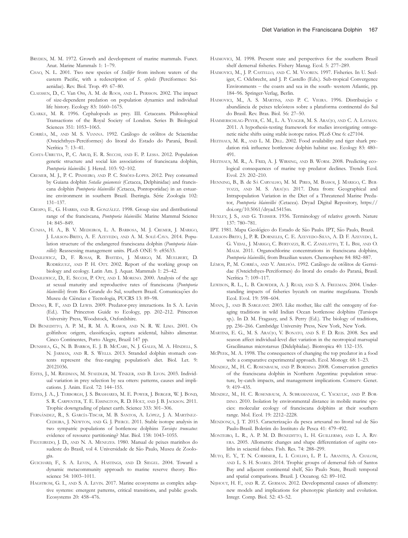- Anat. Marine Mammals 1: 1–79. CHAO, N. L. 2001. Two new species of Stellifer from inshore waters of the eastern Pacific, with a redescription of S. ephelis (Perciformes: Sciaenidae). Rev. Biol. Trop. 49: 67–80.
- CLAESSEN, D., C. Van OSS, A. M. de ROOS, AND L. PERSSON. 2002. The impact of size-dependent predation on population dynamics and individual life history. Ecology 83: 1660–1675.
- CLARKE, M. R. 1996. Cephalopods as prey. III. Cetaceans. Philosophical Transactions of the Royal Society of London. Series B: Biological Sciences 351: 1053–1065.
- CORRÊA, M., AND M. S. VIANNA. 1992. Catálogo de otólitos de Sciaenidae (Osteichthyes-Perciformes) do litoral do Estado do Paraná, Brasil. Nerítica 7: 13-41.
- COSTA-URRUTIA, P., C. ABUD, E. R. SECCHI, AND E. P. LESSA. 2012. Population genetic structure and social kin associations of franciscana dolphin, Pontoporia blainvillei. J. Hered. 103: 92–102.
- CREMER, M. J., P. C. PINHEIRO, AND P. C. SIMÕES-LOPES. 2012. Prey consumed by Guiana dolphin Sotalia guianensis (Cetacea, Delphinidae) and franciscana dolphin Pontoporia blainvillei (Cetacea, Pontoporiidae) in an estuarine environment in southern Brazil. Iheringia. Série Zoologia 102: 131–137.
- CRESPO, E., G. HARRIS, AND R. GONZÁLEZ. 1998. Group size and distributional range of the franciscana, Pontoporia blainvillei. Marine Mammal Science 14: 845–849.
- CUNHA, H. A., B. V. MEDEIROS, L. A. BARBOSA, M. J. CREMER, J. MARIGO, J. LAILSON-BRITO, A. F. AZEVEDO, AND A. M. SOLE-CAVA. 2014. Population structure of the endangered franciscana dolphin (Pontoporia blainvillet): Reassessing management units. PLoS ONE 9: e85633.
- DANILEWICZ, D., F. ROSAS, R. BASTIDA, J. MARIGO, M. MUELBERT, D. RODRIGUEZ, AND P. H. OTT. 2002. Report of the working group on biology and ecology. Latin Am. J. Aquat. Mammals 1: 25–42.
- DANILEWICZ, D., E. SECCHI, P. OTT, AND I. MORENO. 2000. Analysis of the age at sexual maturity and reproductive rates of franciscana (Pontoporia blainvillei) from Rio Grande do Sul, southern Brazil. Comunicações do Museu de Ciências e Tecnologia, PUCRS 13: 89–98.
- DENNO, R. F., AND D. LEWIS. 2009. Predator-prey interactions. In S. A. Levin (Ed.). The Princeton Guide to Ecology, pp. 202–212. Princeton University Press, Woodstock, Oxfordshire.
- Di BENEDITTO, A. P. M., R. M. A. RAMOS, AND N. R. W. LIMA. 2001. Os golfinhos: origem, classificação, captura acidental, hábito alimentar. Cinco Continentes, Porto Alegre, Brazil 147 pp.
- DUNSHEA, G., N. B. BARROS, E. J. B. MCCABE, N. J. GALES, M. A. HINDELL, S. N. JARMAN, AND R. S. WELLS. 2013. Stranded dolphin stomach contents represent the free-ranging population's diet. Biol. Let. 9: 20121036.
- ESTES, J., M. RIEDMAN, M. STAEDLER, M. TINKER, AND B. LYON. 2003. Individual variation in prey selection by sea otters: patterns, causes and implications. J. Anim. Ecol. 72: 144–155.
- ESTES, J. A., J. TERBORGH, J. S. BRASHARES, M. E. POWER, J. BERGER, W. J. BOND, S. R. CARPENTER, T. E. ESSINGTON, R. D. HOLT, AND J. B. JACKSON. 2011. Trophic downgrading of planet earth. Science 333: 301–306.
- FERNÁNDEZ, R., S. GARCÍA-TISCAR, M. B. SANTOS, A. LÓPEZ, J. A. MARTÍNEZ-CEDEIRA, J. NEWTON, AND G. J. PIERCE. 2011. Stable isotope analysis in two sympatric populations of bottlenose dolphins Tursiops truncatus: evidence of resource partitioning? Mar. Biol. 158: 1043–1055.
- FIGUEIREDO, J. D., AND N. A. MENEZES. 1980. Manual de peixes marinhos do sudeste do Brasil, vol 4. Universidade de São Paulo, Museu de Zoologia.
- GUICHARD, F., S. A. LEVIN, A. HASTINGS, AND D. SIEGEL. 2004. Toward a dynamic metacommunity approach to marine reserve theory. Bioscience 54: 1003–1011.
- HAGSTROM, G. I., AND S. A. LEVIN. 2017. Marine ecosystems as complex adaptive systems: emergent patterns, critical transitions, and public goods. Ecosystems 20: 458–476.
- HAIMOVICI, M. 1998. Present state and perspectives for the southern Brazil shelf demersal fisheries. Fishery Manag. Ecol. 5: 277–289.
- HAIMOVICI, M., J. P. CASTELLO, AND C. M. VOOREN. 1997. Fisheries. In U. Seeliger, C. Odebrecht, and J. P. Castello (Eds.). Sub-tropical Convergence Environments – the coasts and sea in the south- western Atlantic, pp. 184–96. Springer-Verlag, Berlin.
- HAIMOVICI, M., A. S. MARTINS, AND P. C. VIEIRA. 1996. Distribuição e abundância de peixes teleósteos sobre a plataforma continental do Sul do Brasil. Rev. Bras. Biol. 56: 27–50.
- HAMMERSCHLAG-PEYER, C. M., L. A. YEAGER, M. S. ARAÚJO, AND C. A. LAYMAN. 2011. A hypothesis-testing framework for studies investigating ontogenetic niche shifts using stable isotope ratios. PLoS One 6: e27104.
- HEITHAUS, M. R., AND L. M. DILL. 2002. Food availability and tiger shark predation risk influence bottlenose dolphin habitat use. Ecology 83: 480– 491.
- HEITHAUS, M. R., A. FRID, A. J. WIRSING, AND B. WORM. 2008. Predicting ecological consequences of marine top predator declines. Trends Ecol. Evol. 23: 202–210.
- HENNING, B., B. de SA CARVALHO, M. M. PIRES, M. BASSOI, J. MARIGO, C. BER-TOZZI, AND M. S. ARAÚJO. 2017. Data from: Geographical and Intrapopulation Variation in the Diet of a Threatened Marine Predator, Pontoporia blainvillei (Cetacea). Dryad Digital Repository, [https://](https://doi.org/10.5061/dryad.5415m) [doi.org/10.5061/dryad.5415m](https://doi.org/10.5061/dryad.5415m).
- HUXLEY, J. S., AND G. TEISSIER. 1936. Terminology of relative growth. Nature 137: 780–781.
- IPT. 1981. Mapa Geológico do Estado de São Paulo. IPT, São Paulo, Brazil.
- LAILSON-BRITO, J., P. R. DORNELES, C. E. AZEVEDO-SILVA, A. D. F. AZEVEDO, L. G. VIDAL, J. MARIGO, C. BERTOZZI, R. C. ZANELATTO, T. L. BISI, AND O. MALM. 2011. Organochlorine concentrations in franciscana dolphins, Pontoporia blainvillei, from Brazilian waters. Chemosphere 84: 882–887.
- LÊMOS, P., M. CORRÊA, AND V. ABILHÔA. 1992. Catálogo de otólitos de Gerreidae (Osteichthyes-Perciformes) do litoral do estado do Paraná, Brasil. Nerítica 7: 109-117.
- LEWISON, R. L., L. B. CROWDER, A. J. READ, AND S. A. FREEMAN. 2004. Understanding impacts of fisheries bycatch on marine megafauna. Trends Ecol. Evol. 19: 598–604.
- MANN, J., AND B. SARGEANT. 2003. Like mother, like calf: the ontogeny of foraging traditions in wild Indian Ocean bottlenose dolphins (Tursiops sp.). In D. M. Fragaszy, and S. Perry (Ed.). The biology of traditions, pp. 236–266. Cambridge University Press, New York, New York.
- MARTINS, E. G., M. S. ARAUJO, V. BONATO, AND S. F. D. REIS. 2008. Sex and season affect individual-level diet variation in the neotropical marsupial Gracilinanus microtarsus (Didelphidae). Biotropica 40: 132–135.
- MCPEEK, M. A. 1998. The consequences of changing the top predator in a food web: a comparative experimental approach. Ecol. Monogr. 68: 1–23.
- MENDEZ, M., H. C. ROSENBAUM, AND P. BORDINO. 2008. Conservation genetics of the franciscana dolphin in Northern Argentina: population structure, by-catch impacts, and management implications. Conserv. Genet. 9: 419–435.
- MENDEZ, M., H. C. ROSENBAUM, A. SUBRAMANIAM, C. YACKULIC, AND P. BOR-DINO. 2010. Isolation by environmental distance in mobile marine species: molecular ecology of franciscana dolphins at their southern range. Mol. Ecol. 19: 2212–2228.
- MENDONÇA, J. T. 2015. Caracterização da pesca artesanal no litoral sul de São Paulo-Brasil. Boletim do Instituto de Pesca 41: 479–492.
- MONTEIRO, L. R., A. P. M. D. BENEDITTO, L. H. GUILLERMO, AND L. A. RIV-ERA. 2005. Allometric changes and shape differentiation of sagitta otoliths in sciaenid fishes. Fish. Res. 74: 288–299.
- MUTO, E. Y., T. N. CORBISIER, L. I. COELHO, L. P. L. ARANTES, A. CHALOM, AND L. S. H. SOARES. 2014. Trophic groups of demersal fish of Santos Bay and adjacent continental shelf, São Paulo State, Brazil: temporal and spatial comparisons. Brazil. J. Oceanog. 62: 89–102.
- NIJHOUT, H. F., AND R. Z. GERMAN. 2012. Developmental causes of allometry: new models and implications for phenotypic plasticity and evolution. Integr. Comp. Biol. 52: 43–52.